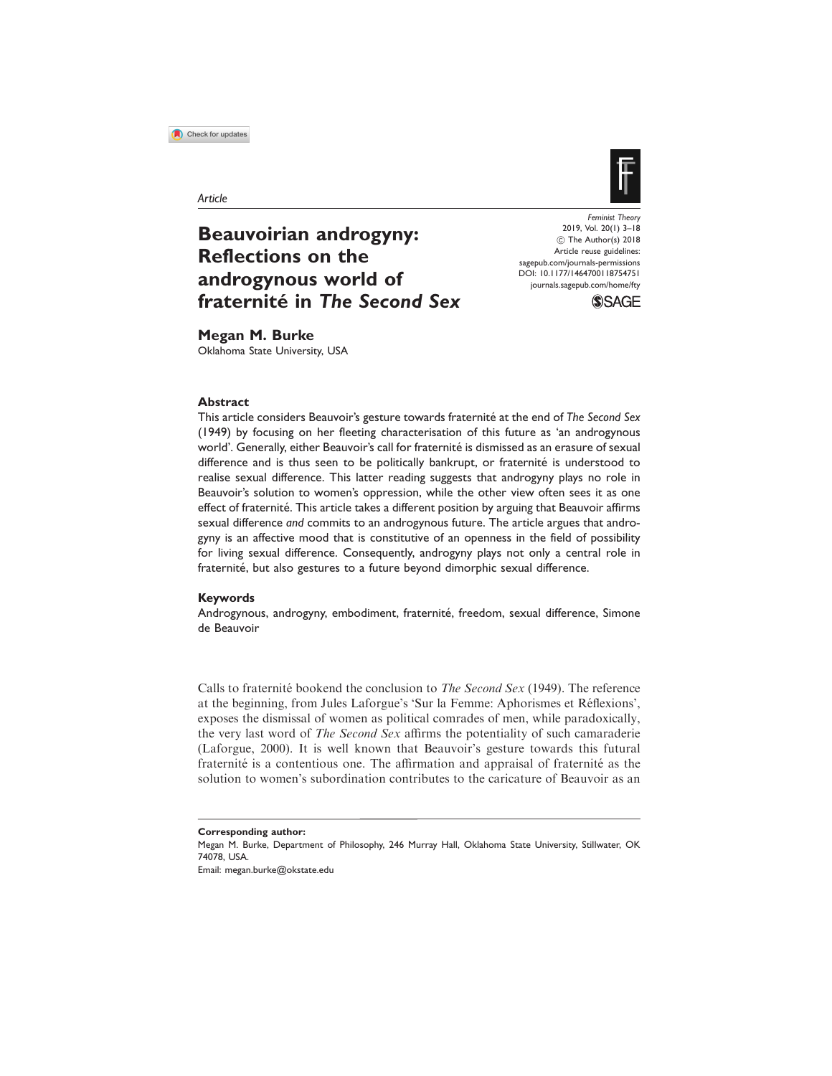

Article

# Beauvoirian androgyny: Reflections on the androgynous world of fraternité in The Second Sex

Feminist Theory 2019, Vol. 20(1) 3–18  $©$  The Author(s) 2018 Article reuse guidelines: [sagepub.com/journals-permissions](https://uk.sagepub.com/en-gb/journals-permissions) DOI: [10.1177/1464700118754751](https://doi.org/10.1177/1464700118754751) <journals.sagepub.com/home/fty>



# Megan M. Burke

Oklahoma State University, USA

## Abstract

This article considers Beauvoir's gesture towards fraternité at the end of The Second Sex (1949) by focusing on her fleeting characterisation of this future as 'an androgynous world'. Generally, either Beauvoir's call for fraternité is dismissed as an erasure of sexual difference and is thus seen to be politically bankrupt, or fraternité is understood to realise sexual difference. This latter reading suggests that androgyny plays no role in Beauvoir's solution to women's oppression, while the other view often sees it as one effect of fraternité. This article takes a different position by arguing that Beauvoir affirms sexual difference and commits to an androgynous future. The article argues that androgyny is an affective mood that is constitutive of an openness in the field of possibility for living sexual difference. Consequently, androgyny plays not only a central role in fraternité, but also gestures to a future beyond dimorphic sexual difference.

#### Keywords

Androgynous, androgyny, embodiment, fraternité, freedom, sexual difference, Simone de Beauvoir

Calls to fraternité bookend the conclusion to *The Second Sex* (1949). The reference at the beginning, from Jules Laforgue's 'Sur la Femme: Aphorismes et Réflexions', exposes the dismissal of women as political comrades of men, while paradoxically, the very last word of The Second Sex affirms the potentiality of such camaraderie (Laforgue, 2000). It is well known that Beauvoir's gesture towards this futural fraternité is a contentious one. The affirmation and appraisal of fraternité as the solution to women's subordination contributes to the caricature of Beauvoir as an

Email: megan.burke@okstate.edu

Corresponding author:

Megan M. Burke, Department of Philosophy, 246 Murray Hall, Oklahoma State University, Stillwater, OK 74078, USA.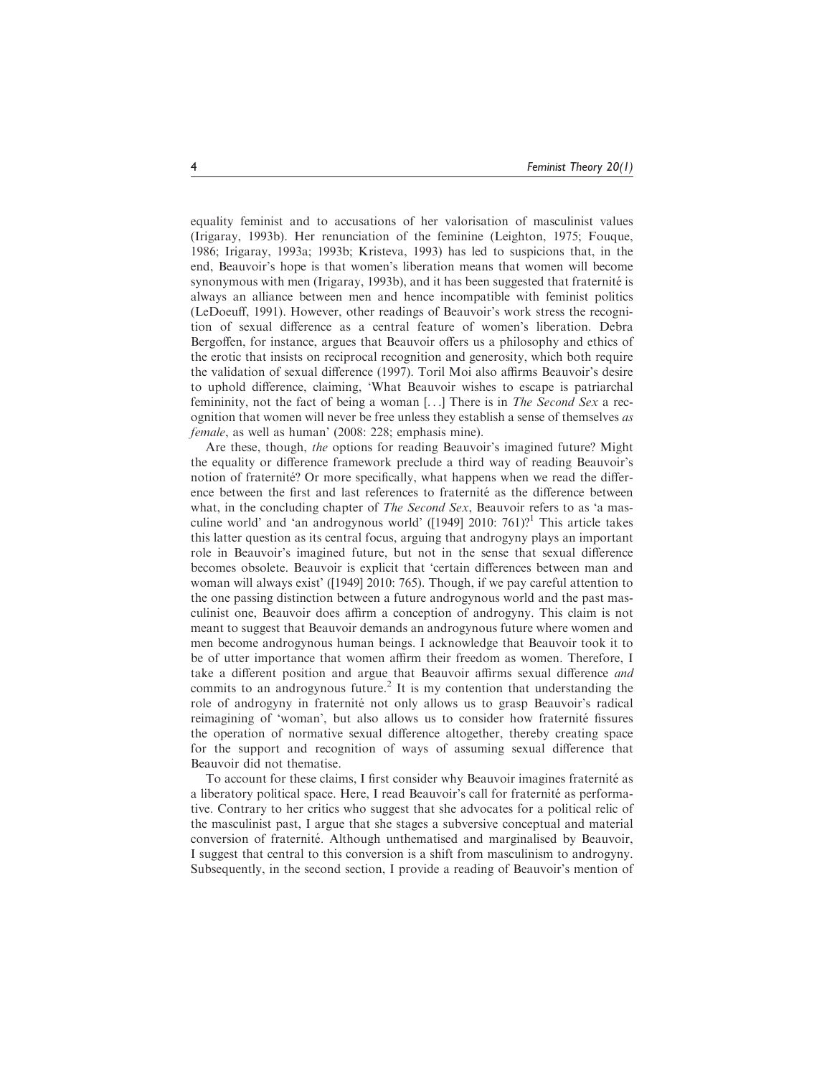equality feminist and to accusations of her valorisation of masculinist values (Irigaray, 1993b). Her renunciation of the feminine (Leighton, 1975; Fouque, 1986; Irigaray, 1993a; 1993b; Kristeva, 1993) has led to suspicions that, in the end, Beauvoir's hope is that women's liberation means that women will become synonymous with men (Irigaray, 1993b), and it has been suggested that fraternité is always an alliance between men and hence incompatible with feminist politics (LeDoeuff, 1991). However, other readings of Beauvoir's work stress the recognition of sexual difference as a central feature of women's liberation. Debra Bergoffen, for instance, argues that Beauvoir offers us a philosophy and ethics of the erotic that insists on reciprocal recognition and generosity, which both require the validation of sexual difference (1997). Toril Moi also affirms Beauvoir's desire to uphold difference, claiming, 'What Beauvoir wishes to escape is patriarchal femininity, not the fact of being a woman [...] There is in *The Second Sex* a recognition that women will never be free unless they establish a sense of themselves as female, as well as human' (2008: 228; emphasis mine).

Are these, though, the options for reading Beauvoir's imagined future? Might the equality or difference framework preclude a third way of reading Beauvoir's notion of fraternite? Or more specifically, what happens when we read the difference between the first and last references to fraternité as the difference between what, in the concluding chapter of *The Second Sex*, Beauvoir refers to as 'a masculine world' and 'an androgynous world' ( $[1949]$  2010: 761)?<sup>1</sup> This article takes this latter question as its central focus, arguing that androgyny plays an important role in Beauvoir's imagined future, but not in the sense that sexual difference becomes obsolete. Beauvoir is explicit that 'certain differences between man and woman will always exist' ([1949] 2010: 765). Though, if we pay careful attention to the one passing distinction between a future androgynous world and the past masculinist one, Beauvoir does affirm a conception of androgyny. This claim is not meant to suggest that Beauvoir demands an androgynous future where women and men become androgynous human beings. I acknowledge that Beauvoir took it to be of utter importance that women affirm their freedom as women. Therefore, I take a different position and argue that Beauvoir affirms sexual difference and commits to an androgynous future.<sup>2</sup> It is my contention that understanding the role of androgyny in fraternité not only allows us to grasp Beauvoir's radical reimagining of 'woman', but also allows us to consider how fraternité fissures the operation of normative sexual difference altogether, thereby creating space for the support and recognition of ways of assuming sexual difference that Beauvoir did not thematise.

To account for these claims, I first consider why Beauvoir imagines fraternité as a liberatory political space. Here, I read Beauvoir's call for fraternité as performative. Contrary to her critics who suggest that she advocates for a political relic of the masculinist past, I argue that she stages a subversive conceptual and material conversion of fraternité. Although unthematised and marginalised by Beauvoir, I suggest that central to this conversion is a shift from masculinism to androgyny. Subsequently, in the second section, I provide a reading of Beauvoir's mention of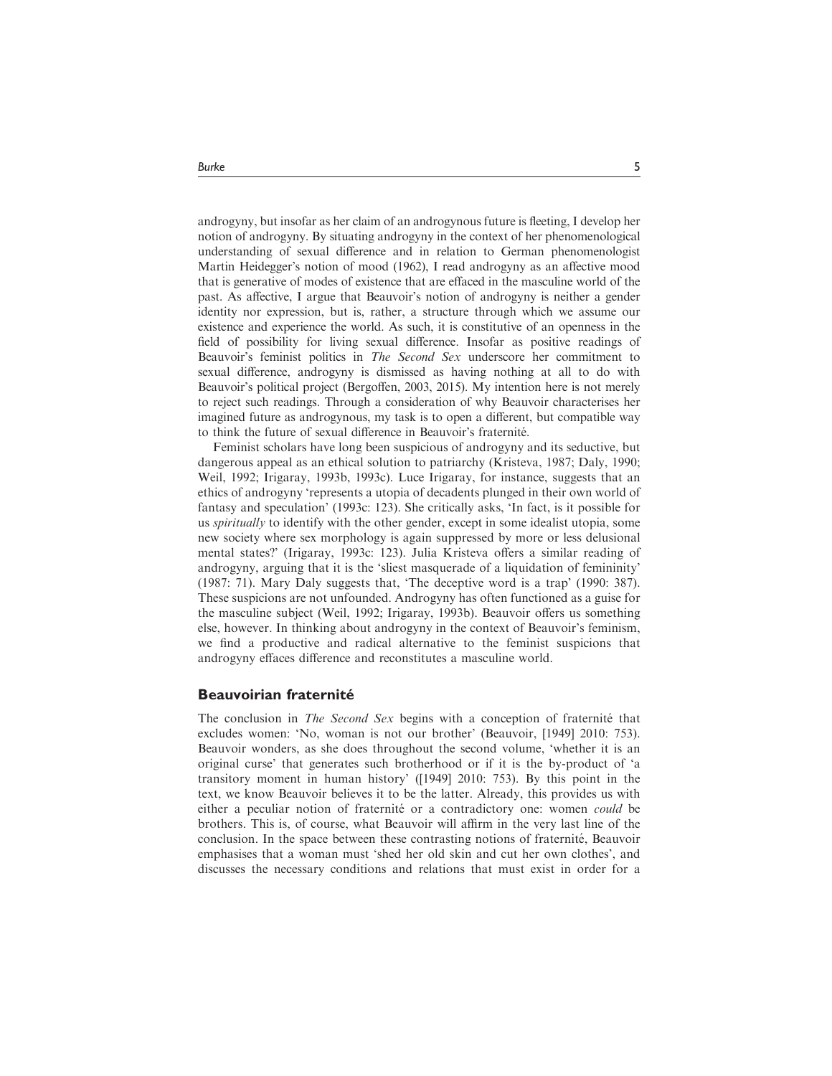androgyny, but insofar as her claim of an androgynous future is fleeting, I develop her notion of androgyny. By situating androgyny in the context of her phenomenological understanding of sexual difference and in relation to German phenomenologist Martin Heidegger's notion of mood (1962), I read androgyny as an affective mood that is generative of modes of existence that are effaced in the masculine world of the past. As affective, I argue that Beauvoir's notion of androgyny is neither a gender identity nor expression, but is, rather, a structure through which we assume our existence and experience the world. As such, it is constitutive of an openness in the field of possibility for living sexual difference. Insofar as positive readings of Beauvoir's feminist politics in The Second Sex underscore her commitment to sexual difference, androgyny is dismissed as having nothing at all to do with Beauvoir's political project (Bergoffen, 2003, 2015). My intention here is not merely to reject such readings. Through a consideration of why Beauvoir characterises her imagined future as androgynous, my task is to open a different, but compatible way to think the future of sexual difference in Beauvoir's fraternité.

Feminist scholars have long been suspicious of androgyny and its seductive, but dangerous appeal as an ethical solution to patriarchy (Kristeva, 1987; Daly, 1990; Weil, 1992; Irigaray, 1993b, 1993c). Luce Irigaray, for instance, suggests that an ethics of androgyny 'represents a utopia of decadents plunged in their own world of fantasy and speculation' (1993c: 123). She critically asks, 'In fact, is it possible for us *spiritually* to identify with the other gender, except in some idealist utopia, some new society where sex morphology is again suppressed by more or less delusional mental states?' (Irigaray, 1993c: 123). Julia Kristeva offers a similar reading of androgyny, arguing that it is the 'sliest masquerade of a liquidation of femininity' (1987: 71). Mary Daly suggests that, 'The deceptive word is a trap' (1990: 387). These suspicions are not unfounded. Androgyny has often functioned as a guise for the masculine subject (Weil, 1992; Irigaray, 1993b). Beauvoir offers us something else, however. In thinking about androgyny in the context of Beauvoir's feminism, we find a productive and radical alternative to the feminist suspicions that androgyny effaces difference and reconstitutes a masculine world.

#### Beauvoirian fraternité

The conclusion in The Second Sex begins with a conception of fraternité that excludes women: 'No, woman is not our brother' (Beauvoir, [1949] 2010: 753). Beauvoir wonders, as she does throughout the second volume, 'whether it is an original curse' that generates such brotherhood or if it is the by-product of 'a transitory moment in human history' ([1949] 2010: 753). By this point in the text, we know Beauvoir believes it to be the latter. Already, this provides us with either a peculiar notion of fraternité or a contradictory one: women *could* be brothers. This is, of course, what Beauvoir will affirm in the very last line of the conclusion. In the space between these contrasting notions of fraternité, Beauvoir emphasises that a woman must 'shed her old skin and cut her own clothes', and discusses the necessary conditions and relations that must exist in order for a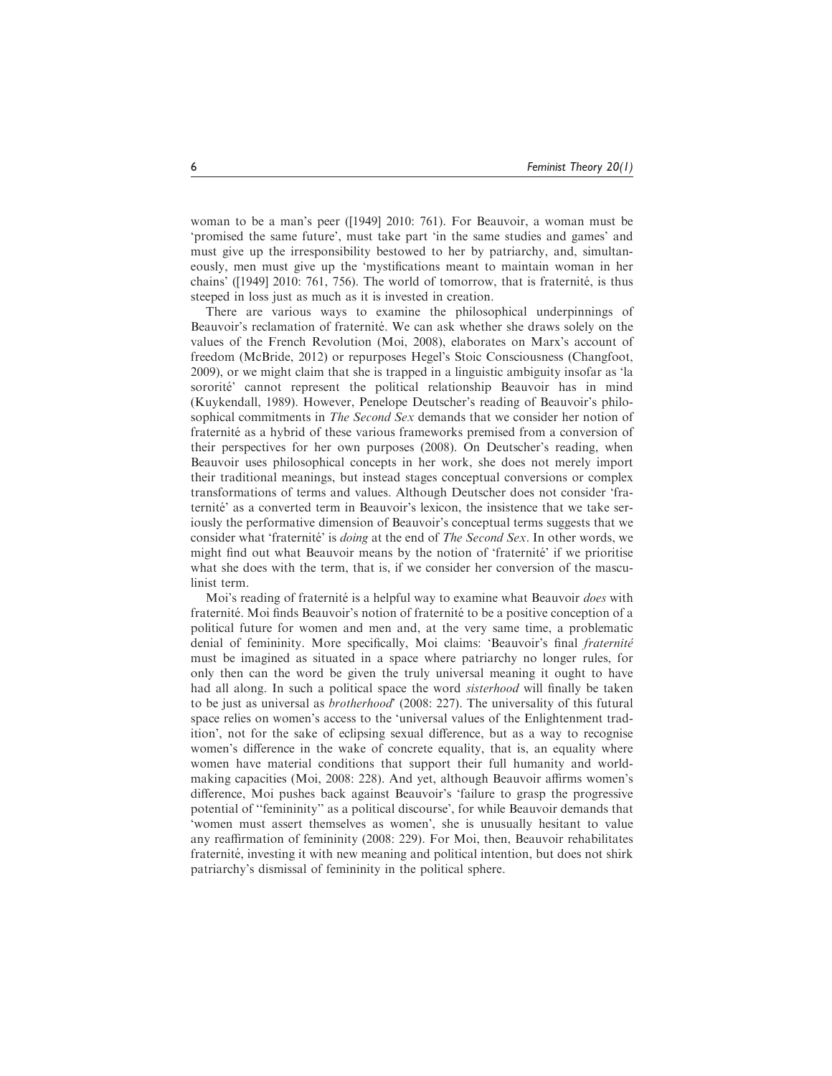woman to be a man's peer ([1949] 2010: 761). For Beauvoir, a woman must be 'promised the same future', must take part 'in the same studies and games' and must give up the irresponsibility bestowed to her by patriarchy, and, simultaneously, men must give up the 'mystifications meant to maintain woman in her chains' ([1949] 2010: 761, 756). The world of tomorrow, that is fraternité, is thus steeped in loss just as much as it is invested in creation.

There are various ways to examine the philosophical underpinnings of Beauvoir's reclamation of fraternité. We can ask whether she draws solely on the values of the French Revolution (Moi, 2008), elaborates on Marx's account of freedom (McBride, 2012) or repurposes Hegel's Stoic Consciousness (Changfoot, 2009), or we might claim that she is trapped in a linguistic ambiguity insofar as 'la sororité' cannot represent the political relationship Beauvoir has in mind (Kuykendall, 1989). However, Penelope Deutscher's reading of Beauvoir's philosophical commitments in The Second Sex demands that we consider her notion of fraternité as a hybrid of these various frameworks premised from a conversion of their perspectives for her own purposes (2008). On Deutscher's reading, when Beauvoir uses philosophical concepts in her work, she does not merely import their traditional meanings, but instead stages conceptual conversions or complex transformations of terms and values. Although Deutscher does not consider 'fraternité' as a converted term in Beauvoir's lexicon, the insistence that we take seriously the performative dimension of Beauvoir's conceptual terms suggests that we consider what 'fraternité' is *doing* at the end of *The Second Sex*. In other words, we might find out what Beauvoir means by the notion of 'fraternité' if we prioritise what she does with the term, that is, if we consider her conversion of the masculinist term.

Moi's reading of fraternité is a helpful way to examine what Beauvoir does with fraternité. Moi finds Beauvoir's notion of fraternité to be a positive conception of a political future for women and men and, at the very same time, a problematic denial of femininity. More specifically, Moi claims: 'Beauvoir's final fraternité must be imagined as situated in a space where patriarchy no longer rules, for only then can the word be given the truly universal meaning it ought to have had all along. In such a political space the word *sisterhood* will finally be taken to be just as universal as *brotherhood*' (2008: 227). The universality of this futural space relies on women's access to the 'universal values of the Enlightenment tradition', not for the sake of eclipsing sexual difference, but as a way to recognise women's difference in the wake of concrete equality, that is, an equality where women have material conditions that support their full humanity and worldmaking capacities (Moi, 2008: 228). And yet, although Beauvoir affirms women's difference, Moi pushes back against Beauvoir's 'failure to grasp the progressive potential of ''femininity'' as a political discourse', for while Beauvoir demands that 'women must assert themselves as women', she is unusually hesitant to value any reaffirmation of femininity (2008: 229). For Moi, then, Beauvoir rehabilitates fraternité, investing it with new meaning and political intention, but does not shirk patriarchy's dismissal of femininity in the political sphere.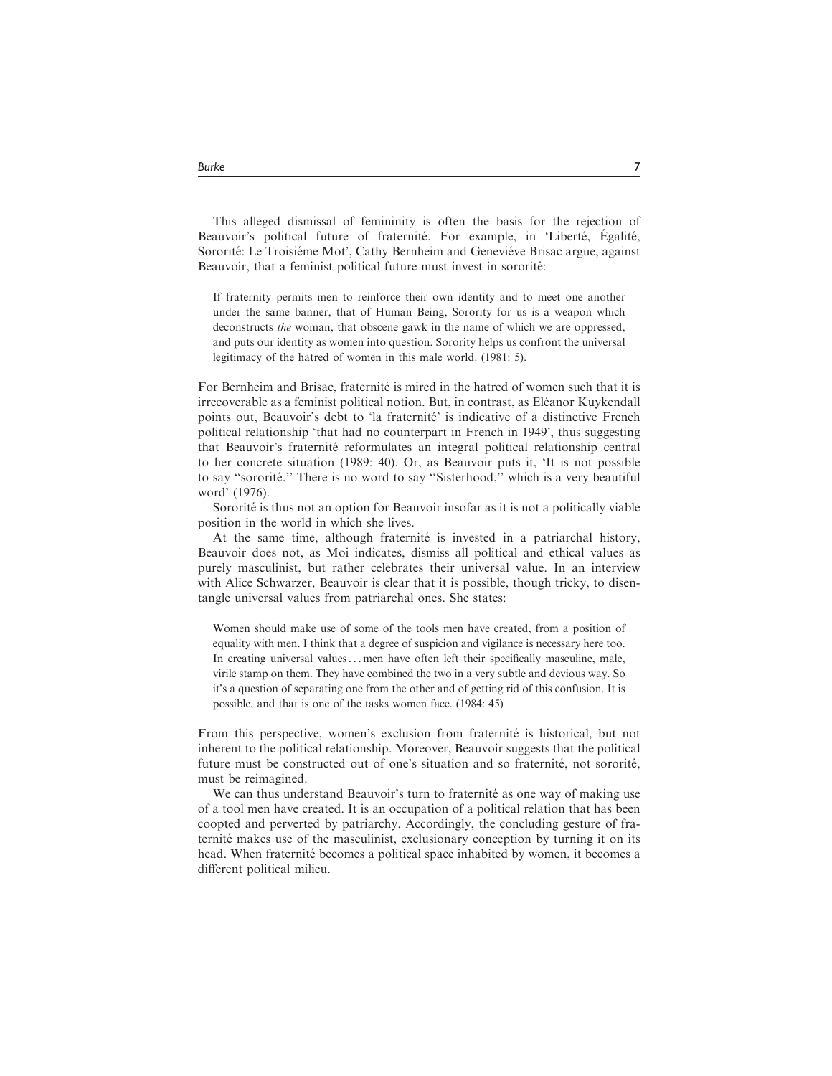This alleged dismissal of femininity is often the basis for the rejection of Beauvoir's political future of fraternité. For example, in 'Liberté, Égalité, Sororité: Le Troisiéme Mot', Cathy Bernheim and Geneviéve Brisac argue, against Beauvoir, that a feminist political future must invest in sororité:

If fraternity permits men to reinforce their own identity and to meet one another under the same banner, that of Human Being, Sorority for us is a weapon which deconstructs the woman, that obscene gawk in the name of which we are oppressed, and puts our identity as women into question. Sorority helps us confront the universal legitimacy of the hatred of women in this male world. (1981: 5).

For Bernheim and Brisac, fraternité is mired in the hatred of women such that it is irrecoverable as a feminist political notion. But, in contrast, as Eléanor Kuykendall points out, Beauvoir's debt to 'la fraternité' is indicative of a distinctive French political relationship 'that had no counterpart in French in 1949', thus suggesting that Beauvoir's fraternité reformulates an integral political relationship central to her concrete situation (1989: 40). Or, as Beauvoir puts it, 'It is not possible to say "sororité." There is no word to say "Sisterhood," which is a very beautiful word' (1976).

Sororité is thus not an option for Beauvoir insofar as it is not a politically viable position in the world in which she lives.

At the same time, although fraternité is invested in a patriarchal history, Beauvoir does not, as Moi indicates, dismiss all political and ethical values as purely masculinist, but rather celebrates their universal value. In an interview with Alice Schwarzer, Beauvoir is clear that it is possible, though tricky, to disentangle universal values from patriarchal ones. She states:

Women should make use of some of the tools men have created, from a position of equality with men. I think that a degree of suspicion and vigilance is necessary here too. In creating universal values... men have often left their specifically masculine, male, virile stamp on them. They have combined the two in a very subtle and devious way. So it's a question of separating one from the other and of getting rid of this confusion. It is possible, and that is one of the tasks women face. (1984: 45)

From this perspective, women's exclusion from fraternité is historical, but not inherent to the political relationship. Moreover, Beauvoir suggests that the political future must be constructed out of one's situation and so fraternité, not sororité, must be reimagined.

We can thus understand Beauvoir's turn to fraternité as one way of making use of a tool men have created. It is an occupation of a political relation that has been coopted and perverted by patriarchy. Accordingly, the concluding gesture of fraternité makes use of the masculinist, exclusionary conception by turning it on its head. When fraternité becomes a political space inhabited by women, it becomes a different political milieu.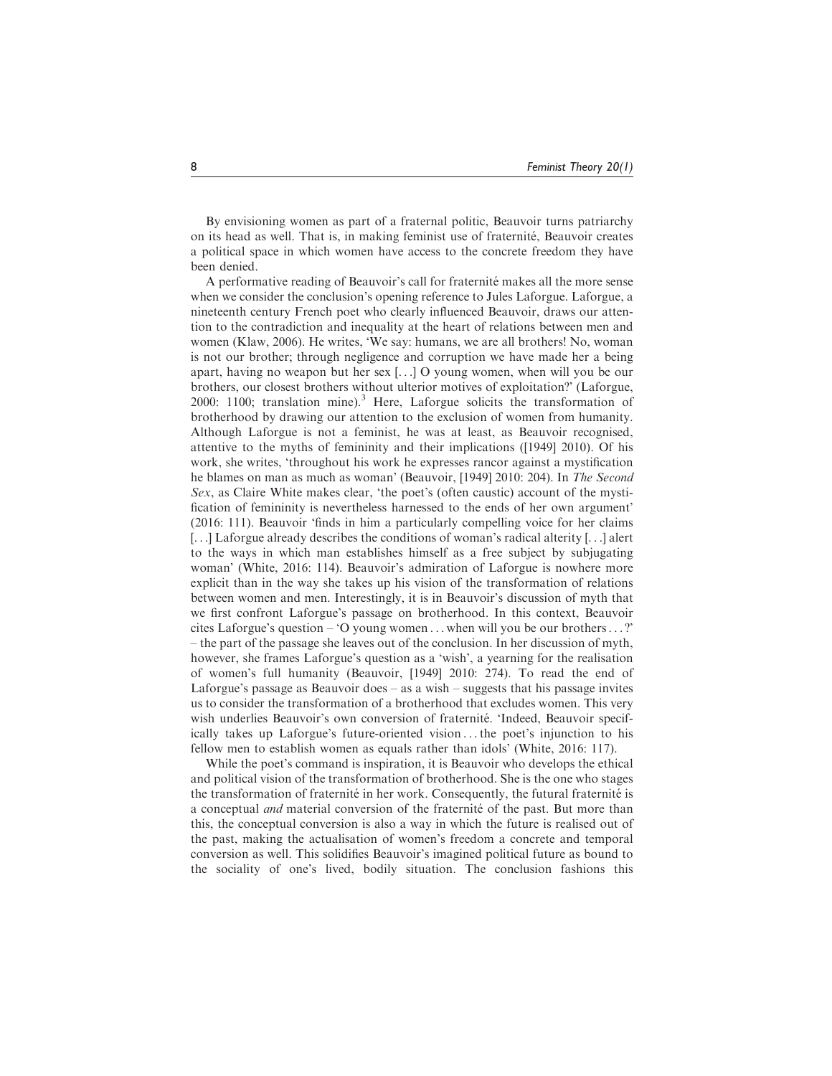By envisioning women as part of a fraternal politic, Beauvoir turns patriarchy on its head as well. That is, in making feminist use of fraternité, Beauvoir creates a political space in which women have access to the concrete freedom they have been denied.

A performative reading of Beauvoir's call for fraternité makes all the more sense when we consider the conclusion's opening reference to Jules Laforgue. Laforgue, a nineteenth century French poet who clearly influenced Beauvoir, draws our attention to the contradiction and inequality at the heart of relations between men and women (Klaw, 2006). He writes, 'We say: humans, we are all brothers! No, woman is not our brother; through negligence and corruption we have made her a being apart, having no weapon but her sex [...] O young women, when will you be our brothers, our closest brothers without ulterior motives of exploitation?' (Laforgue, 2000: 1100; translation mine).<sup>3</sup> Here, Laforgue solicits the transformation of brotherhood by drawing our attention to the exclusion of women from humanity. Although Laforgue is not a feminist, he was at least, as Beauvoir recognised, attentive to the myths of femininity and their implications ([1949] 2010). Of his work, she writes, 'throughout his work he expresses rancor against a mystification he blames on man as much as woman' (Beauvoir, [1949] 2010: 204). In The Second Sex, as Claire White makes clear, 'the poet's (often caustic) account of the mystification of femininity is nevertheless harnessed to the ends of her own argument' (2016: 111). Beauvoir 'finds in him a particularly compelling voice for her claims [...] Laforgue already describes the conditions of woman's radical alterity [...] alert to the ways in which man establishes himself as a free subject by subjugating woman' (White, 2016: 114). Beauvoir's admiration of Laforgue is nowhere more explicit than in the way she takes up his vision of the transformation of relations between women and men. Interestingly, it is in Beauvoir's discussion of myth that we first confront Laforgue's passage on brotherhood. In this context, Beauvoir cites Laforgue's question – 'O young women ... when will you be our brothers...?' – the part of the passage she leaves out of the conclusion. In her discussion of myth, however, she frames Laforgue's question as a 'wish', a yearning for the realisation of women's full humanity (Beauvoir, [1949] 2010: 274). To read the end of Laforgue's passage as Beauvoir does  $-$  as a wish  $-$  suggests that his passage invites us to consider the transformation of a brotherhood that excludes women. This very wish underlies Beauvoir's own conversion of fraternité. 'Indeed, Beauvoir specifically takes up Laforgue's future-oriented vision ... the poet's injunction to his fellow men to establish women as equals rather than idols' (White, 2016: 117).

While the poet's command is inspiration, it is Beauvoir who develops the ethical and political vision of the transformation of brotherhood. She is the one who stages the transformation of fraternité in her work. Consequently, the futural fraternité is a conceptual *and* material conversion of the fraternite of the past. But more than this, the conceptual conversion is also a way in which the future is realised out of the past, making the actualisation of women's freedom a concrete and temporal conversion as well. This solidifies Beauvoir's imagined political future as bound to the sociality of one's lived, bodily situation. The conclusion fashions this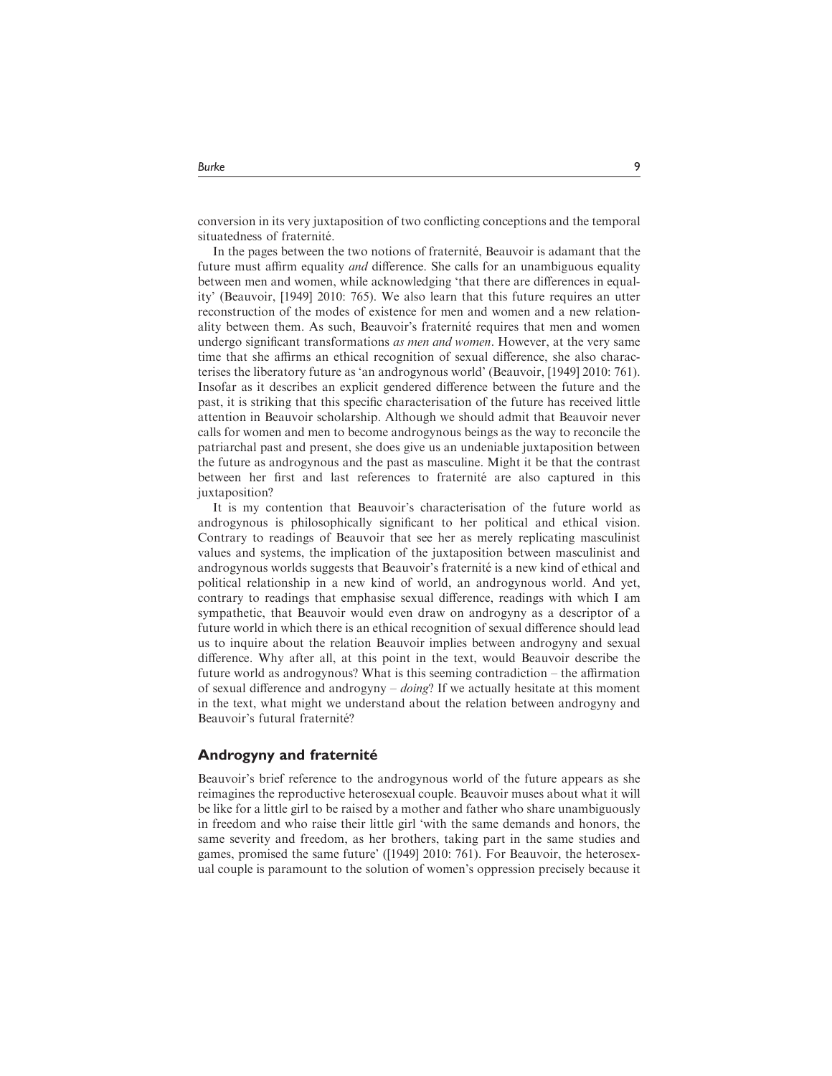conversion in its very juxtaposition of two conflicting conceptions and the temporal

situatedness of fraternité. In the pages between the two notions of fraternite. Beauvoir is adamant that the future must affirm equality and difference. She calls for an unambiguous equality between men and women, while acknowledging 'that there are differences in equality' (Beauvoir, [1949] 2010: 765). We also learn that this future requires an utter reconstruction of the modes of existence for men and women and a new relationality between them. As such, Beauvoir's fraternité requires that men and women undergo significant transformations as men and women. However, at the very same time that she affirms an ethical recognition of sexual difference, she also characterises the liberatory future as 'an androgynous world' (Beauvoir, [1949] 2010: 761). Insofar as it describes an explicit gendered difference between the future and the past, it is striking that this specific characterisation of the future has received little attention in Beauvoir scholarship. Although we should admit that Beauvoir never calls for women and men to become androgynous beings as the way to reconcile the patriarchal past and present, she does give us an undeniable juxtaposition between the future as androgynous and the past as masculine. Might it be that the contrast between her first and last references to fraternité are also captured in this juxtaposition?

It is my contention that Beauvoir's characterisation of the future world as androgynous is philosophically significant to her political and ethical vision. Contrary to readings of Beauvoir that see her as merely replicating masculinist values and systems, the implication of the juxtaposition between masculinist and androgynous worlds suggests that Beauvoir's fraternité is a new kind of ethical and political relationship in a new kind of world, an androgynous world. And yet, contrary to readings that emphasise sexual difference, readings with which I am sympathetic, that Beauvoir would even draw on androgyny as a descriptor of a future world in which there is an ethical recognition of sexual difference should lead us to inquire about the relation Beauvoir implies between androgyny and sexual difference. Why after all, at this point in the text, would Beauvoir describe the future world as androgynous? What is this seeming contradiction – the affirmation of sexual difference and androgyny –  $\omega$ ing? If we actually hesitate at this moment in the text, what might we understand about the relation between androgyny and Beauvoir's futural fraternité?

# Androgyny and fraternité

Beauvoir's brief reference to the androgynous world of the future appears as she reimagines the reproductive heterosexual couple. Beauvoir muses about what it will be like for a little girl to be raised by a mother and father who share unambiguously in freedom and who raise their little girl 'with the same demands and honors, the same severity and freedom, as her brothers, taking part in the same studies and games, promised the same future' ([1949] 2010: 761). For Beauvoir, the heterosexual couple is paramount to the solution of women's oppression precisely because it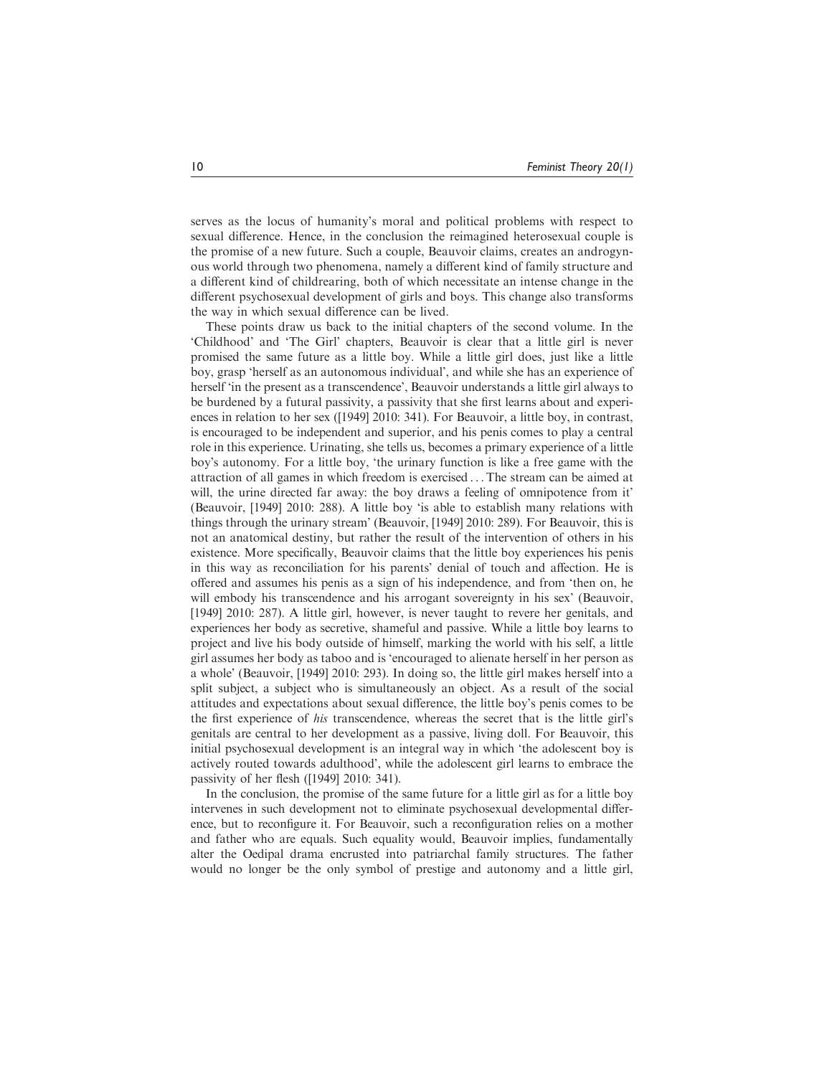serves as the locus of humanity's moral and political problems with respect to sexual difference. Hence, in the conclusion the reimagined heterosexual couple is the promise of a new future. Such a couple, Beauvoir claims, creates an androgynous world through two phenomena, namely a different kind of family structure and a different kind of childrearing, both of which necessitate an intense change in the different psychosexual development of girls and boys. This change also transforms the way in which sexual difference can be lived.

These points draw us back to the initial chapters of the second volume. In the 'Childhood' and 'The Girl' chapters, Beauvoir is clear that a little girl is never promised the same future as a little boy. While a little girl does, just like a little boy, grasp 'herself as an autonomous individual', and while she has an experience of herself 'in the present as a transcendence', Beauvoir understands a little girl always to be burdened by a futural passivity, a passivity that she first learns about and experiences in relation to her sex ([1949] 2010: 341). For Beauvoir, a little boy, in contrast, is encouraged to be independent and superior, and his penis comes to play a central role in this experience. Urinating, she tells us, becomes a primary experience of a little boy's autonomy. For a little boy, 'the urinary function is like a free game with the attraction of all games in which freedom is exercised ...The stream can be aimed at will, the urine directed far away: the boy draws a feeling of omnipotence from it' (Beauvoir, [1949] 2010: 288). A little boy 'is able to establish many relations with things through the urinary stream' (Beauvoir, [1949] 2010: 289). For Beauvoir, this is not an anatomical destiny, but rather the result of the intervention of others in his existence. More specifically, Beauvoir claims that the little boy experiences his penis in this way as reconciliation for his parents' denial of touch and affection. He is offered and assumes his penis as a sign of his independence, and from 'then on, he will embody his transcendence and his arrogant sovereignty in his sex' (Beauvoir, [1949] 2010: 287). A little girl, however, is never taught to revere her genitals, and experiences her body as secretive, shameful and passive. While a little boy learns to project and live his body outside of himself, marking the world with his self, a little girl assumes her body as taboo and is 'encouraged to alienate herself in her person as a whole' (Beauvoir, [1949] 2010: 293). In doing so, the little girl makes herself into a split subject, a subject who is simultaneously an object. As a result of the social attitudes and expectations about sexual difference, the little boy's penis comes to be the first experience of his transcendence, whereas the secret that is the little girl's genitals are central to her development as a passive, living doll. For Beauvoir, this initial psychosexual development is an integral way in which 'the adolescent boy is actively routed towards adulthood', while the adolescent girl learns to embrace the passivity of her flesh ([1949] 2010: 341).

In the conclusion, the promise of the same future for a little girl as for a little boy intervenes in such development not to eliminate psychosexual developmental difference, but to reconfigure it. For Beauvoir, such a reconfiguration relies on a mother and father who are equals. Such equality would, Beauvoir implies, fundamentally alter the Oedipal drama encrusted into patriarchal family structures. The father would no longer be the only symbol of prestige and autonomy and a little girl,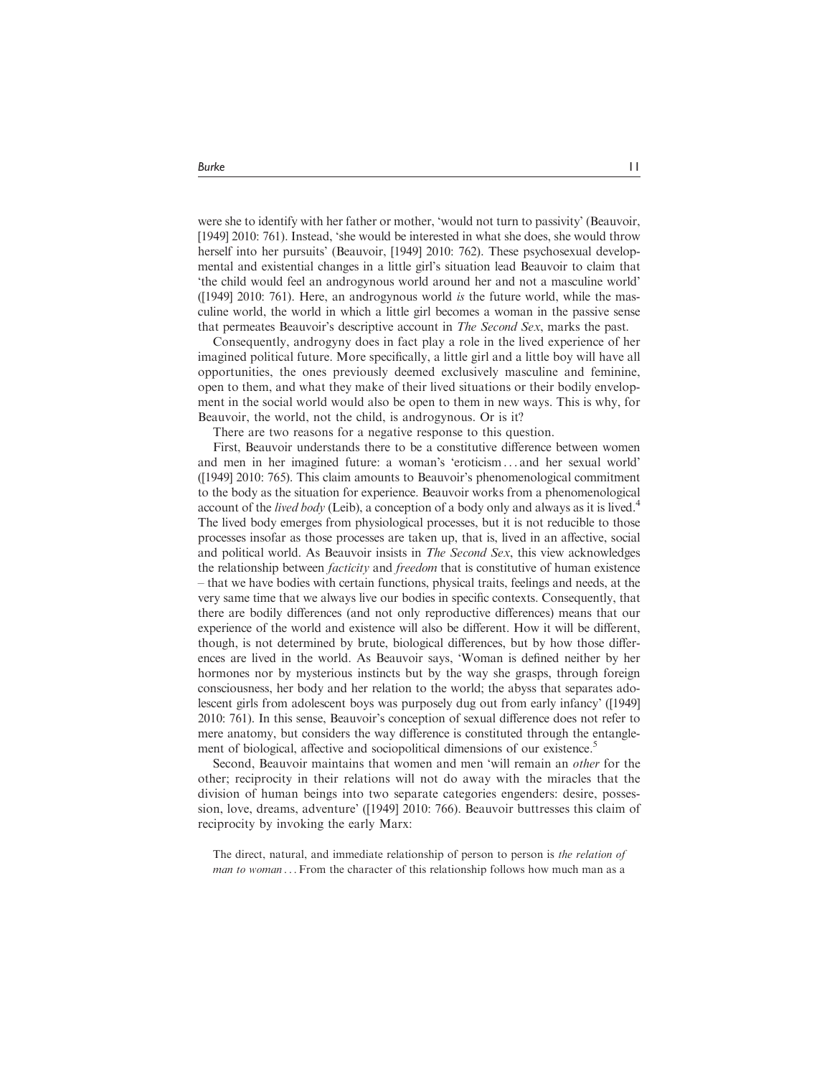were she to identify with her father or mother, 'would not turn to passivity' (Beauvoir, [1949] 2010: 761). Instead, 'she would be interested in what she does, she would throw herself into her pursuits' (Beauvoir, [1949] 2010: 762). These psychosexual developmental and existential changes in a little girl's situation lead Beauvoir to claim that 'the child would feel an androgynous world around her and not a masculine world' ([1949] 2010: 761). Here, an androgynous world is the future world, while the masculine world, the world in which a little girl becomes a woman in the passive sense that permeates Beauvoir's descriptive account in The Second Sex, marks the past.

Consequently, androgyny does in fact play a role in the lived experience of her imagined political future. More specifically, a little girl and a little boy will have all opportunities, the ones previously deemed exclusively masculine and feminine, open to them, and what they make of their lived situations or their bodily envelopment in the social world would also be open to them in new ways. This is why, for Beauvoir, the world, not the child, is androgynous. Or is it?

There are two reasons for a negative response to this question.

First, Beauvoir understands there to be a constitutive difference between women and men in her imagined future: a woman's 'eroticism ... and her sexual world' ([1949] 2010: 765). This claim amounts to Beauvoir's phenomenological commitment to the body as the situation for experience. Beauvoir works from a phenomenological account of the *lived body* (Leib), a conception of a body only and always as it is lived.<sup>4</sup> The lived body emerges from physiological processes, but it is not reducible to those processes insofar as those processes are taken up, that is, lived in an affective, social and political world. As Beauvoir insists in The Second Sex, this view acknowledges the relationship between *facticity* and *freedom* that is constitutive of human existence – that we have bodies with certain functions, physical traits, feelings and needs, at the very same time that we always live our bodies in specific contexts. Consequently, that there are bodily differences (and not only reproductive differences) means that our experience of the world and existence will also be different. How it will be different, though, is not determined by brute, biological differences, but by how those differences are lived in the world. As Beauvoir says, 'Woman is defined neither by her hormones nor by mysterious instincts but by the way she grasps, through foreign consciousness, her body and her relation to the world; the abyss that separates adolescent girls from adolescent boys was purposely dug out from early infancy' ([1949] 2010: 761). In this sense, Beauvoir's conception of sexual difference does not refer to mere anatomy, but considers the way difference is constituted through the entanglement of biological, affective and sociopolitical dimensions of our existence.<sup>5</sup>

Second, Beauvoir maintains that women and men 'will remain an other for the other; reciprocity in their relations will not do away with the miracles that the division of human beings into two separate categories engenders: desire, possession, love, dreams, adventure' ([1949] 2010: 766). Beauvoir buttresses this claim of reciprocity by invoking the early Marx:

The direct, natural, and immediate relationship of person to person is the relation of man to woman ... From the character of this relationship follows how much man as a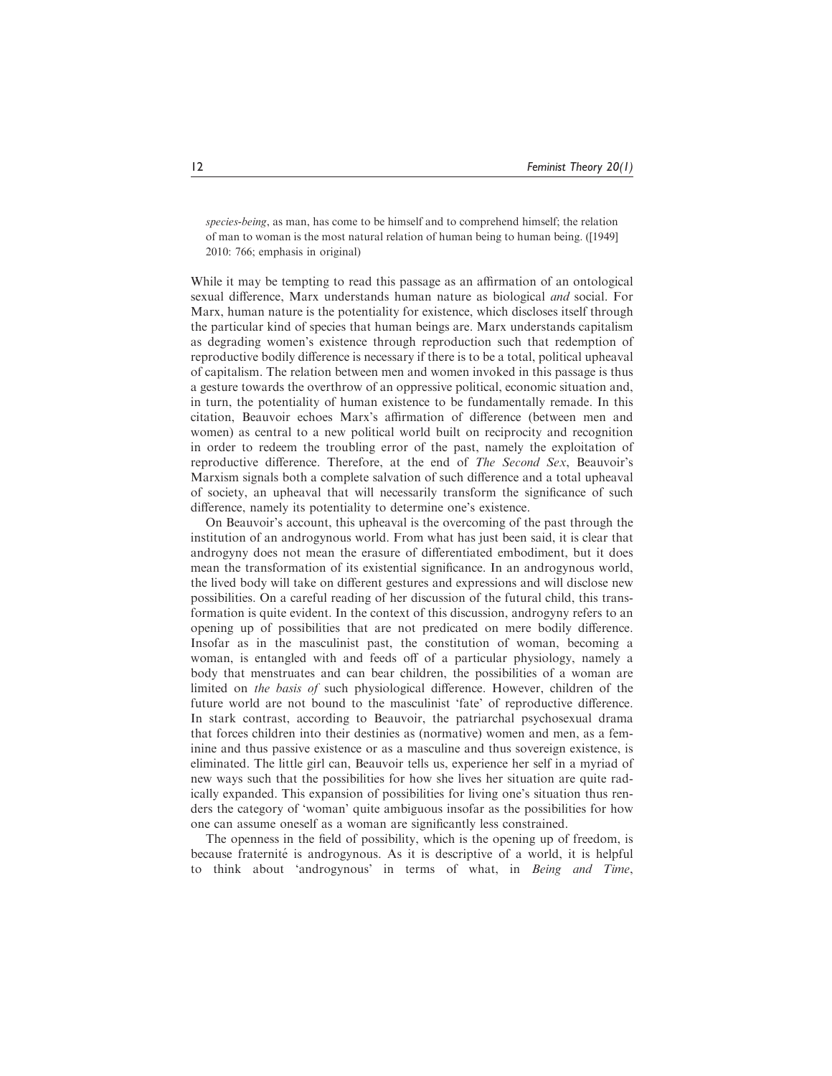species-being, as man, has come to be himself and to comprehend himself; the relation of man to woman is the most natural relation of human being to human being. ([1949] 2010: 766; emphasis in original)

While it may be tempting to read this passage as an affirmation of an ontological sexual difference, Marx understands human nature as biological and social. For Marx, human nature is the potentiality for existence, which discloses itself through the particular kind of species that human beings are. Marx understands capitalism as degrading women's existence through reproduction such that redemption of reproductive bodily difference is necessary if there is to be a total, political upheaval of capitalism. The relation between men and women invoked in this passage is thus a gesture towards the overthrow of an oppressive political, economic situation and, in turn, the potentiality of human existence to be fundamentally remade. In this citation, Beauvoir echoes Marx's affirmation of difference (between men and women) as central to a new political world built on reciprocity and recognition in order to redeem the troubling error of the past, namely the exploitation of reproductive difference. Therefore, at the end of The Second Sex, Beauvoir's Marxism signals both a complete salvation of such difference and a total upheaval of society, an upheaval that will necessarily transform the significance of such difference, namely its potentiality to determine one's existence.

On Beauvoir's account, this upheaval is the overcoming of the past through the institution of an androgynous world. From what has just been said, it is clear that androgyny does not mean the erasure of differentiated embodiment, but it does mean the transformation of its existential significance. In an androgynous world, the lived body will take on different gestures and expressions and will disclose new possibilities. On a careful reading of her discussion of the futural child, this transformation is quite evident. In the context of this discussion, androgyny refers to an opening up of possibilities that are not predicated on mere bodily difference. Insofar as in the masculinist past, the constitution of woman, becoming a woman, is entangled with and feeds off of a particular physiology, namely a body that menstruates and can bear children, the possibilities of a woman are limited on the basis of such physiological difference. However, children of the future world are not bound to the masculinist 'fate' of reproductive difference. In stark contrast, according to Beauvoir, the patriarchal psychosexual drama that forces children into their destinies as (normative) women and men, as a feminine and thus passive existence or as a masculine and thus sovereign existence, is eliminated. The little girl can, Beauvoir tells us, experience her self in a myriad of new ways such that the possibilities for how she lives her situation are quite radically expanded. This expansion of possibilities for living one's situation thus renders the category of 'woman' quite ambiguous insofar as the possibilities for how one can assume oneself as a woman are significantly less constrained.

The openness in the field of possibility, which is the opening up of freedom, is because fraternité is androgynous. As it is descriptive of a world, it is helpful to think about 'androgynous' in terms of what, in Being and Time,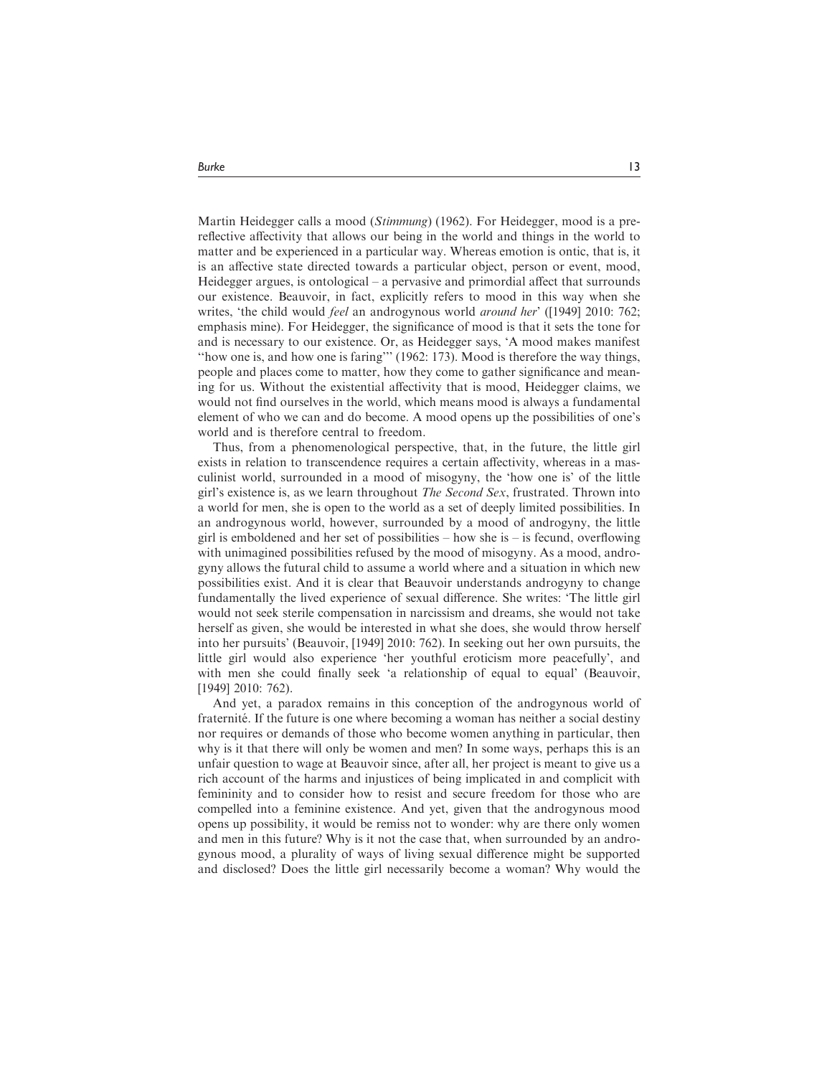Martin Heidegger calls a mood (*Stimmung*) (1962). For Heidegger, mood is a prereflective affectivity that allows our being in the world and things in the world to matter and be experienced in a particular way. Whereas emotion is ontic, that is, it is an affective state directed towards a particular object, person or event, mood, Heidegger argues, is ontological – a pervasive and primordial affect that surrounds our existence. Beauvoir, in fact, explicitly refers to mood in this way when she writes, 'the child would *feel* an androgynous world *around her*' ([1949] 2010: 762; emphasis mine). For Heidegger, the significance of mood is that it sets the tone for and is necessary to our existence. Or, as Heidegger says, 'A mood makes manifest "how one is, and how one is faring"' (1962: 173). Mood is therefore the way things, people and places come to matter, how they come to gather significance and meaning for us. Without the existential affectivity that is mood, Heidegger claims, we would not find ourselves in the world, which means mood is always a fundamental element of who we can and do become. A mood opens up the possibilities of one's world and is therefore central to freedom.

Thus, from a phenomenological perspective, that, in the future, the little girl exists in relation to transcendence requires a certain affectivity, whereas in a masculinist world, surrounded in a mood of misogyny, the 'how one is' of the little girl's existence is, as we learn throughout The Second Sex, frustrated. Thrown into a world for men, she is open to the world as a set of deeply limited possibilities. In an androgynous world, however, surrounded by a mood of androgyny, the little girl is emboldened and her set of possibilities – how she is – is fecund, overflowing with unimagined possibilities refused by the mood of misogyny. As a mood, androgyny allows the futural child to assume a world where and a situation in which new possibilities exist. And it is clear that Beauvoir understands androgyny to change fundamentally the lived experience of sexual difference. She writes: 'The little girl would not seek sterile compensation in narcissism and dreams, she would not take herself as given, she would be interested in what she does, she would throw herself into her pursuits' (Beauvoir, [1949] 2010: 762). In seeking out her own pursuits, the little girl would also experience 'her youthful eroticism more peacefully', and with men she could finally seek 'a relationship of equal to equal' (Beauvoir, [1949] 2010: 762).

And yet, a paradox remains in this conception of the androgynous world of fraternité. If the future is one where becoming a woman has neither a social destiny nor requires or demands of those who become women anything in particular, then why is it that there will only be women and men? In some ways, perhaps this is an unfair question to wage at Beauvoir since, after all, her project is meant to give us a rich account of the harms and injustices of being implicated in and complicit with femininity and to consider how to resist and secure freedom for those who are compelled into a feminine existence. And yet, given that the androgynous mood opens up possibility, it would be remiss not to wonder: why are there only women and men in this future? Why is it not the case that, when surrounded by an androgynous mood, a plurality of ways of living sexual difference might be supported and disclosed? Does the little girl necessarily become a woman? Why would the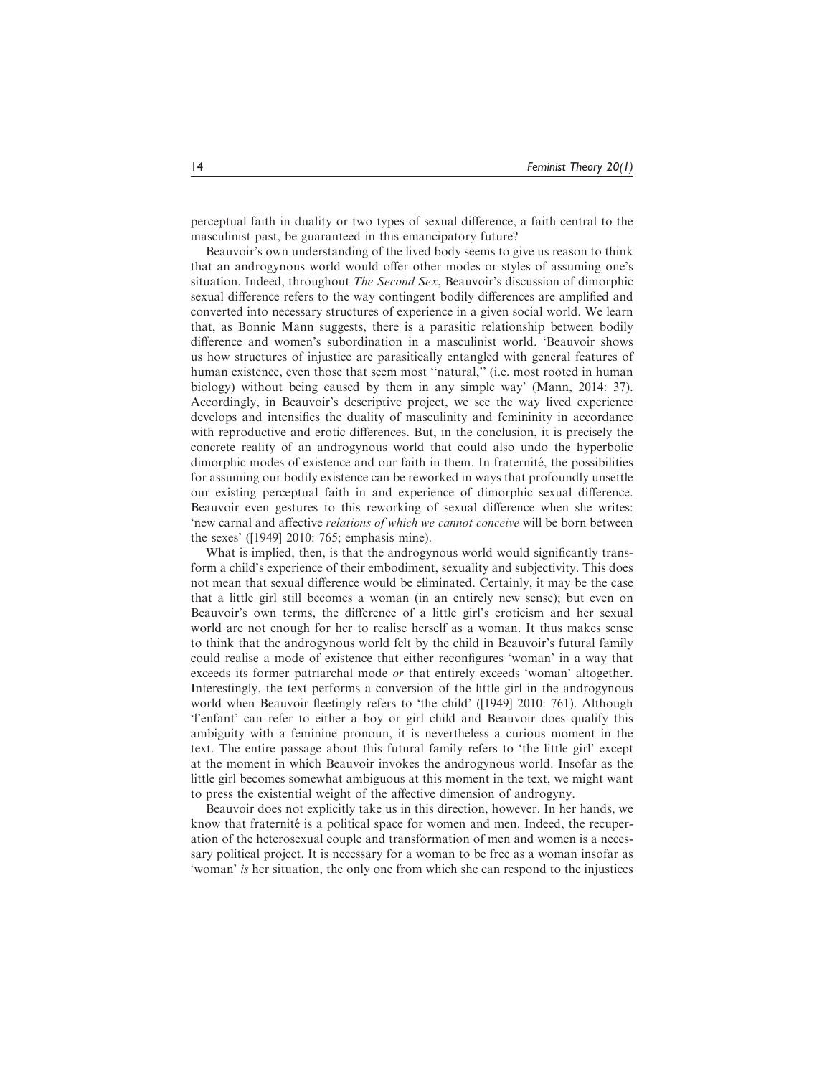perceptual faith in duality or two types of sexual difference, a faith central to the masculinist past, be guaranteed in this emancipatory future?

Beauvoir's own understanding of the lived body seems to give us reason to think that an androgynous world would offer other modes or styles of assuming one's situation. Indeed, throughout The Second Sex, Beauvoir's discussion of dimorphic sexual difference refers to the way contingent bodily differences are amplified and converted into necessary structures of experience in a given social world. We learn that, as Bonnie Mann suggests, there is a parasitic relationship between bodily difference and women's subordination in a masculinist world. 'Beauvoir shows us how structures of injustice are parasitically entangled with general features of human existence, even those that seem most "natural," (i.e. most rooted in human biology) without being caused by them in any simple way' (Mann, 2014: 37). Accordingly, in Beauvoir's descriptive project, we see the way lived experience develops and intensifies the duality of masculinity and femininity in accordance with reproductive and erotic differences. But, in the conclusion, it is precisely the concrete reality of an androgynous world that could also undo the hyperbolic dimorphic modes of existence and our faith in them. In fraternité, the possibilities for assuming our bodily existence can be reworked in ways that profoundly unsettle our existing perceptual faith in and experience of dimorphic sexual difference. Beauvoir even gestures to this reworking of sexual difference when she writes: 'new carnal and affective relations of which we cannot conceive will be born between the sexes' ([1949] 2010: 765; emphasis mine).

What is implied, then, is that the androgynous world would significantly transform a child's experience of their embodiment, sexuality and subjectivity. This does not mean that sexual difference would be eliminated. Certainly, it may be the case that a little girl still becomes a woman (in an entirely new sense); but even on Beauvoir's own terms, the difference of a little girl's eroticism and her sexual world are not enough for her to realise herself as a woman. It thus makes sense to think that the androgynous world felt by the child in Beauvoir's futural family could realise a mode of existence that either reconfigures 'woman' in a way that exceeds its former patriarchal mode or that entirely exceeds 'woman' altogether. Interestingly, the text performs a conversion of the little girl in the androgynous world when Beauvoir fleetingly refers to 'the child' ([1949] 2010: 761). Although 'l'enfant' can refer to either a boy or girl child and Beauvoir does qualify this ambiguity with a feminine pronoun, it is nevertheless a curious moment in the text. The entire passage about this futural family refers to 'the little girl' except at the moment in which Beauvoir invokes the androgynous world. Insofar as the little girl becomes somewhat ambiguous at this moment in the text, we might want to press the existential weight of the affective dimension of androgyny.

Beauvoir does not explicitly take us in this direction, however. In her hands, we know that fraternité is a political space for women and men. Indeed, the recuperation of the heterosexual couple and transformation of men and women is a necessary political project. It is necessary for a woman to be free as a woman insofar as 'woman' is her situation, the only one from which she can respond to the injustices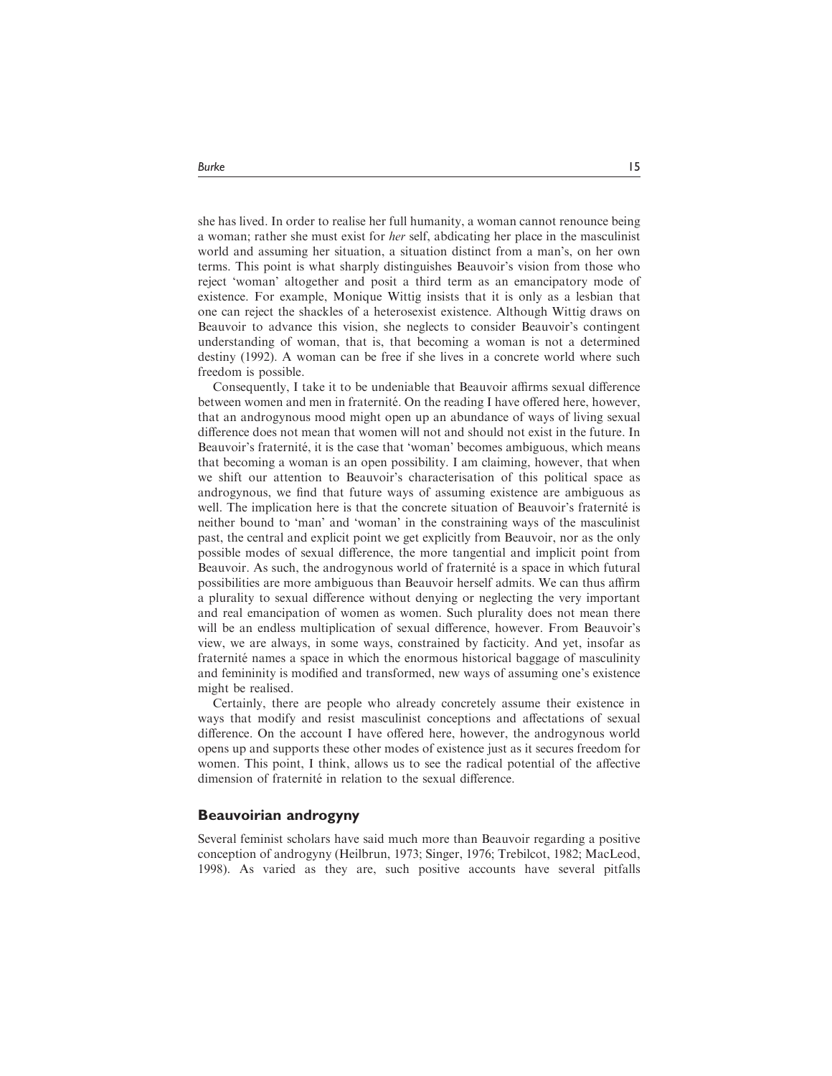she has lived. In order to realise her full humanity, a woman cannot renounce being a woman; rather she must exist for her self, abdicating her place in the masculinist world and assuming her situation, a situation distinct from a man's, on her own terms. This point is what sharply distinguishes Beauvoir's vision from those who reject 'woman' altogether and posit a third term as an emancipatory mode of existence. For example, Monique Wittig insists that it is only as a lesbian that one can reject the shackles of a heterosexist existence. Although Wittig draws on Beauvoir to advance this vision, she neglects to consider Beauvoir's contingent understanding of woman, that is, that becoming a woman is not a determined destiny (1992). A woman can be free if she lives in a concrete world where such freedom is possible.

Consequently, I take it to be undeniable that Beauvoir affirms sexual difference between women and men in fraternité. On the reading I have offered here, however, that an androgynous mood might open up an abundance of ways of living sexual difference does not mean that women will not and should not exist in the future. In Beauvoir's fraternité, it is the case that 'woman' becomes ambiguous, which means that becoming a woman is an open possibility. I am claiming, however, that when we shift our attention to Beauvoir's characterisation of this political space as androgynous, we find that future ways of assuming existence are ambiguous as well. The implication here is that the concrete situation of Beauvoir's fraternité is neither bound to 'man' and 'woman' in the constraining ways of the masculinist past, the central and explicit point we get explicitly from Beauvoir, nor as the only possible modes of sexual difference, the more tangential and implicit point from Beauvoir. As such, the androgynous world of fraternité is a space in which futural possibilities are more ambiguous than Beauvoir herself admits. We can thus affirm a plurality to sexual difference without denying or neglecting the very important and real emancipation of women as women. Such plurality does not mean there will be an endless multiplication of sexual difference, however. From Beauvoir's view, we are always, in some ways, constrained by facticity. And yet, insofar as fraternite` names a space in which the enormous historical baggage of masculinity and femininity is modified and transformed, new ways of assuming one's existence might be realised.

Certainly, there are people who already concretely assume their existence in ways that modify and resist masculinist conceptions and affectations of sexual difference. On the account I have offered here, however, the androgynous world opens up and supports these other modes of existence just as it secures freedom for women. This point, I think, allows us to see the radical potential of the affective dimension of fraternité in relation to the sexual difference.

### Beauvoirian androgyny

Several feminist scholars have said much more than Beauvoir regarding a positive conception of androgyny (Heilbrun, 1973; Singer, 1976; Trebilcot, 1982; MacLeod, 1998). As varied as they are, such positive accounts have several pitfalls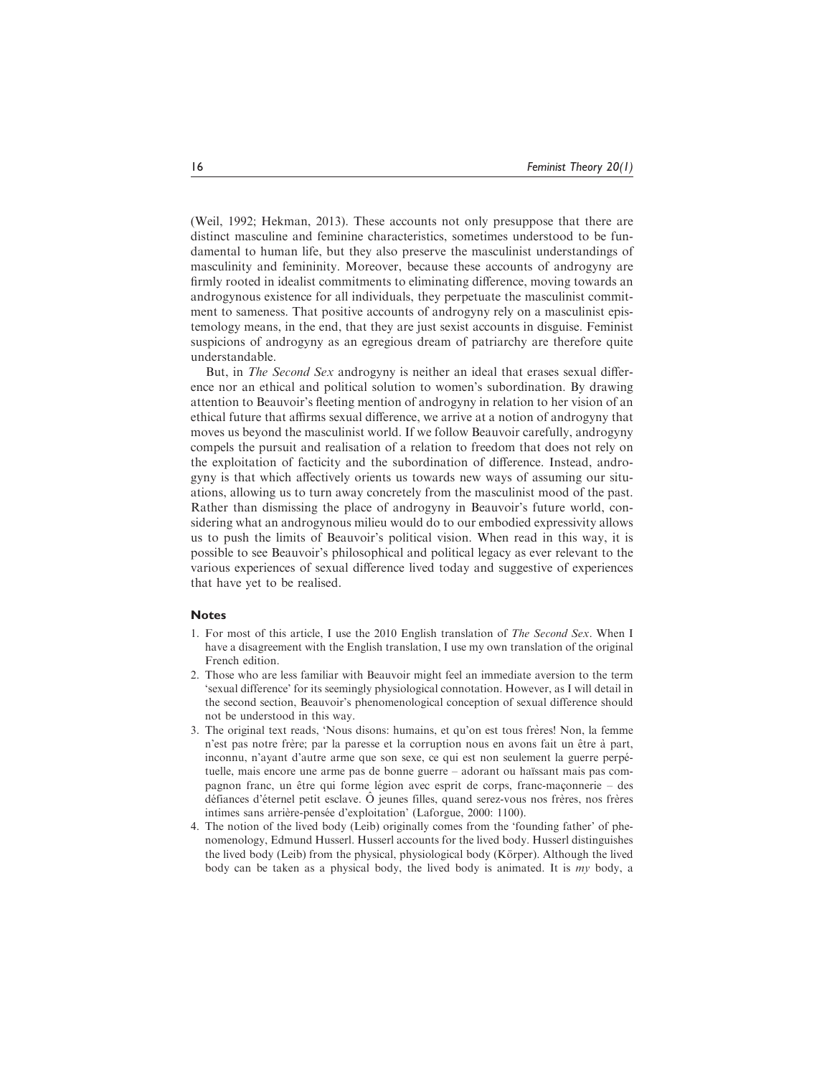(Weil, 1992; Hekman, 2013). These accounts not only presuppose that there are distinct masculine and feminine characteristics, sometimes understood to be fundamental to human life, but they also preserve the masculinist understandings of masculinity and femininity. Moreover, because these accounts of androgyny are firmly rooted in idealist commitments to eliminating difference, moving towards an androgynous existence for all individuals, they perpetuate the masculinist commitment to sameness. That positive accounts of androgyny rely on a masculinist epistemology means, in the end, that they are just sexist accounts in disguise. Feminist suspicions of androgyny as an egregious dream of patriarchy are therefore quite understandable.

But, in The Second Sex androgyny is neither an ideal that erases sexual difference nor an ethical and political solution to women's subordination. By drawing attention to Beauvoir's fleeting mention of androgyny in relation to her vision of an ethical future that affirms sexual difference, we arrive at a notion of androgyny that moves us beyond the masculinist world. If we follow Beauvoir carefully, androgyny compels the pursuit and realisation of a relation to freedom that does not rely on the exploitation of facticity and the subordination of difference. Instead, androgyny is that which affectively orients us towards new ways of assuming our situations, allowing us to turn away concretely from the masculinist mood of the past. Rather than dismissing the place of androgyny in Beauvoir's future world, considering what an androgynous milieu would do to our embodied expressivity allows us to push the limits of Beauvoir's political vision. When read in this way, it is possible to see Beauvoir's philosophical and political legacy as ever relevant to the various experiences of sexual difference lived today and suggestive of experiences that have yet to be realised.

#### **Notes**

- 1. For most of this article, I use the 2010 English translation of The Second Sex. When I have a disagreement with the English translation, I use my own translation of the original French edition.
- 2. Those who are less familiar with Beauvoir might feel an immediate aversion to the term 'sexual difference' for its seemingly physiological connotation. However, as I will detail in the second section, Beauvoir's phenomenological conception of sexual difference should not be understood in this way.
- 3. The original text reads, 'Nous disons: humains, et qu'on est tous frères! Non, la femme n'est pas notre frère; par la paresse et la corruption nous en avons fait un être à part, inconnu, n'ayant d'autre arme que son sexe, ce qui est non seulement la guerre perpétuelle, mais encore une arme pas de bonne guerre – adorant ou haïssant mais pas compagnon franc, un être qui forme légion avec esprit de corps, franc-maçonnerie – des défiances d'éternel petit esclave. O jeunes filles, quand serez-vous nos frères, nos frères intimes sans arrière-pensée d'exploitation' (Laforgue, 2000: 1100).
- 4. The notion of the lived body (Leib) originally comes from the 'founding father' of phenomenology, Edmund Husserl. Husserl accounts for the lived body. Husserl distinguishes the lived body (Leib) from the physical, physiological body (Körper). Although the lived body can be taken as a physical body, the lived body is animated. It is my body, a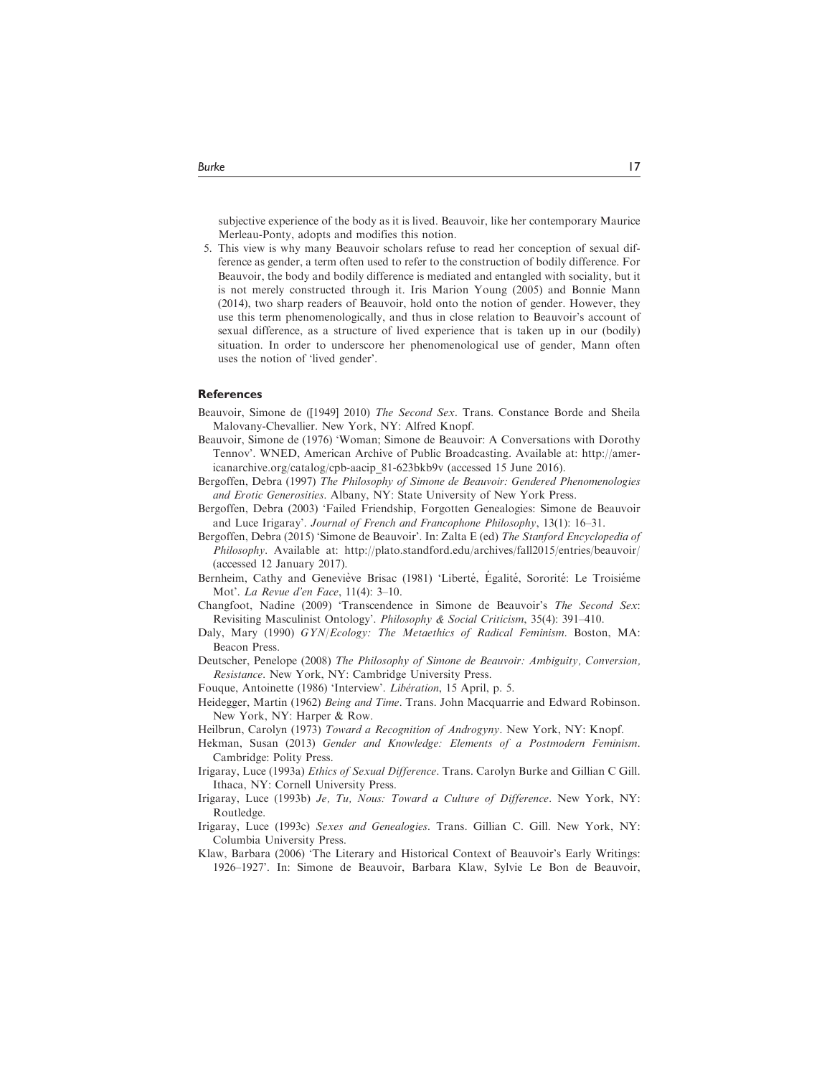subjective experience of the body as it is lived. Beauvoir, like her contemporary Maurice Merleau-Ponty, adopts and modifies this notion.

5. This view is why many Beauvoir scholars refuse to read her conception of sexual difference as gender, a term often used to refer to the construction of bodily difference. For Beauvoir, the body and bodily difference is mediated and entangled with sociality, but it is not merely constructed through it. Iris Marion Young (2005) and Bonnie Mann (2014), two sharp readers of Beauvoir, hold onto the notion of gender. However, they use this term phenomenologically, and thus in close relation to Beauvoir's account of sexual difference, as a structure of lived experience that is taken up in our (bodily) situation. In order to underscore her phenomenological use of gender, Mann often uses the notion of 'lived gender'.

#### **References**

- Beauvoir, Simone de ([1949] 2010) The Second Sex. Trans. Constance Borde and Sheila Malovany-Chevallier. New York, NY: Alfred Knopf.
- Beauvoir, Simone de (1976) 'Woman; Simone de Beauvoir: A Conversations with Dorothy Tennov'. WNED, American Archive of Public Broadcasting. Available at: [http://amer](http://americanarchive.org/catalog/cpb-aacip_81-623bkb9v)[icanarchive.org/catalog/cpb-aacip\\_81-623bkb9v](http://americanarchive.org/catalog/cpb-aacip_81-623bkb9v) (accessed 15 June 2016).
- Bergoffen, Debra (1997) The Philosophy of Simone de Beauvoir: Gendered Phenomenologies and Erotic Generosities. Albany, NY: State University of New York Press.
- Bergoffen, Debra (2003) 'Failed Friendship, Forgotten Genealogies: Simone de Beauvoir and Luce Irigaray'. Journal of French and Francophone Philosophy, 13(1): 16–31.
- Bergoffen, Debra (2015) 'Simone de Beauvoir'. In: Zalta E (ed) The Stanford Encyclopedia of Philosophy. Available at:<http://plato.standford.edu/archives/fall2015/entries/beauvoir/> (accessed 12 January 2017).
- Bernheim, Cathy and Geneviève Brisac (1981) 'Liberté, Égalité, Sororité: Le Troisiéme Mot'. La Revue d'en Face, 11(4): 3–10.
- Changfoot, Nadine (2009) 'Transcendence in Simone de Beauvoir's The Second Sex: Revisiting Masculinist Ontology'. Philosophy & Social Criticism, 35(4): 391–410.
- Daly, Mary (1990) GYN/Ecology: The Metaethics of Radical Feminism. Boston, MA: Beacon Press.
- Deutscher, Penelope (2008) The Philosophy of Simone de Beauvoir: Ambiguity, Conversion, Resistance. New York, NY: Cambridge University Press.
- Fouque, Antoinette (1986) 'Interview'. Libération, 15 April, p. 5.
- Heidegger, Martin (1962) Being and Time. Trans. John Macquarrie and Edward Robinson. New York, NY: Harper & Row.
- Heilbrun, Carolyn (1973) Toward a Recognition of Androgyny. New York, NY: Knopf.
- Hekman, Susan (2013) Gender and Knowledge: Elements of a Postmodern Feminism. Cambridge: Polity Press.
- Irigaray, Luce (1993a) Ethics of Sexual Difference. Trans. Carolyn Burke and Gillian C Gill. Ithaca, NY: Cornell University Press.
- Irigaray, Luce (1993b) Je, Tu, Nous: Toward a Culture of Difference. New York, NY: Routledge.
- Irigaray, Luce (1993c) Sexes and Genealogies. Trans. Gillian C. Gill. New York, NY: Columbia University Press.
- Klaw, Barbara (2006) 'The Literary and Historical Context of Beauvoir's Early Writings: 1926–1927'. In: Simone de Beauvoir, Barbara Klaw, Sylvie Le Bon de Beauvoir,